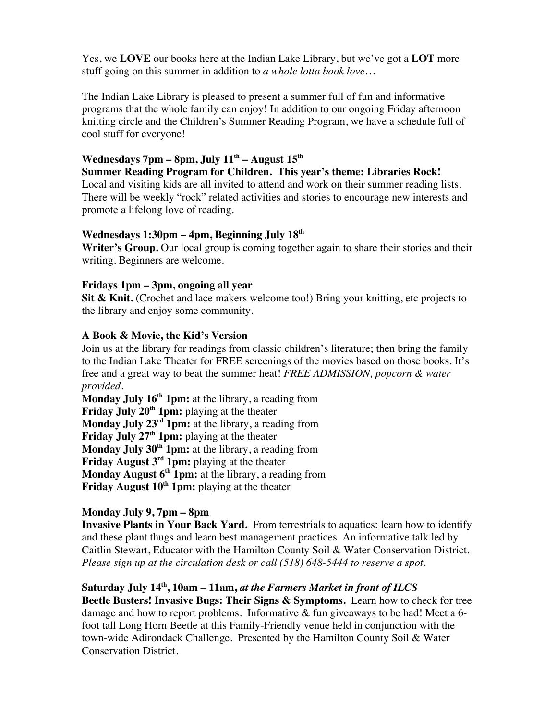Yes, we **LOVE** our books here at the Indian Lake Library, but we've got a **LOT** more stuff going on this summer in addition to *a whole lotta book love…*

The Indian Lake Library is pleased to present a summer full of fun and informative programs that the whole family can enjoy! In addition to our ongoing Friday afternoon knitting circle and the Children's Summer Reading Program, we have a schedule full of cool stuff for everyone!

# Wednesdays 7pm – 8pm, July 11<sup>th</sup> – August 15<sup>th</sup>

**Summer Reading Program for Children. This year's theme: Libraries Rock!** Local and visiting kids are all invited to attend and work on their summer reading lists. There will be weekly "rock" related activities and stories to encourage new interests and promote a lifelong love of reading.

#### **Wednesdays 1:30pm – 4pm, Beginning July 18th**

**Writer's Group.** Our local group is coming together again to share their stories and their writing. Beginners are welcome.

#### **Fridays 1pm – 3pm, ongoing all year**

**Sit & Knit.** (Crochet and lace makers welcome too!) Bring your knitting, etc projects to the library and enjoy some community.

#### **A Book & Movie, the Kid's Version**

Join us at the library for readings from classic children's literature; then bring the family to the Indian Lake Theater for FREE screenings of the movies based on those books. It's free and a great way to beat the summer heat! *FREE ADMISSION, popcorn & water provided.*

**Monday July 16<sup>th</sup> 1pm:** at the library, a reading from Friday July 20<sup>th</sup> 1pm: playing at the theater **Monday July 23rd 1pm:** at the library, a reading from **Friday July 27<sup>th</sup> 1pm:** playing at the theater **Monday July 30th 1pm:** at the library, a reading from **Friday August 3<sup>rd</sup> 1pm:** playing at the theater **Monday August 6th 1pm:** at the library, a reading from **Friday August 10<sup>th</sup> 1pm:** playing at the theater

### **Monday July 9, 7pm – 8pm**

**Invasive Plants in Your Back Yard.** From terrestrials to aquatics: learn how to identify and these plant thugs and learn best management practices. An informative talk led by Caitlin Stewart, Educator with the Hamilton County Soil & Water Conservation District. *Please sign up at the circulation desk or call (518) 648-5444 to reserve a spot.*

### **Saturday July 14th, 10am – 11am,** *at the Farmers Market in front of ILCS*

**Beetle Busters! Invasive Bugs: Their Signs & Symptoms.** Learn how to check for tree damage and how to report problems. Informative  $&$  fun giveaways to be had! Meet a 6foot tall Long Horn Beetle at this Family-Friendly venue held in conjunction with the town-wide Adirondack Challenge. Presented by the Hamilton County Soil & Water Conservation District.